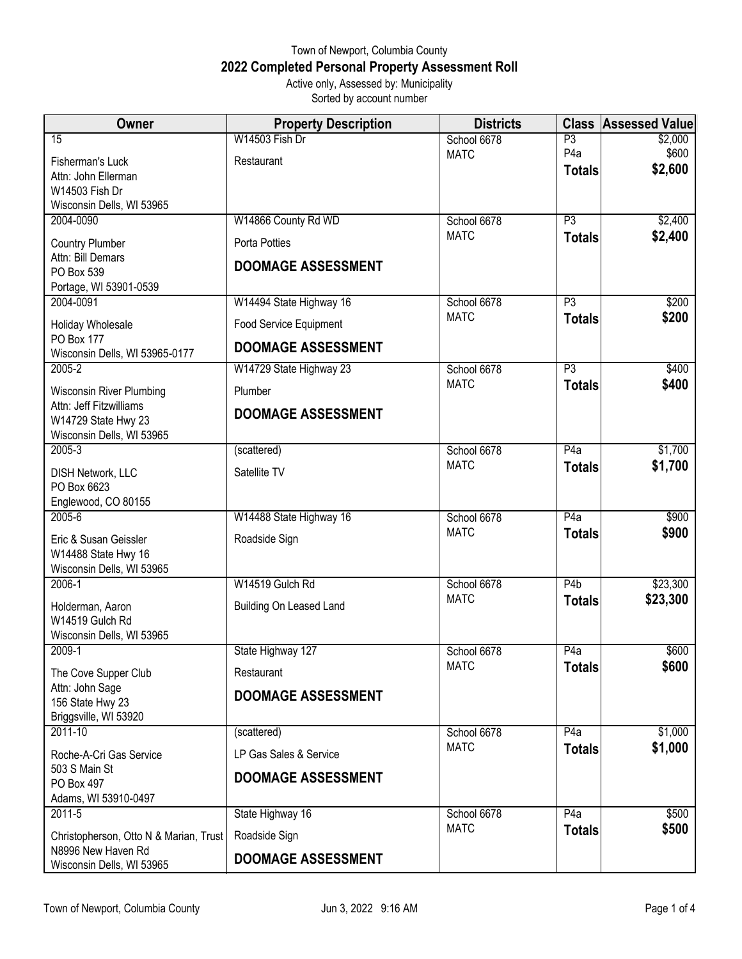## Town of Newport, Columbia County **2022 Completed Personal Property Assessment Roll** Active only, Assessed by: Municipality

Sorted by account number

| Owner                                        | <b>Property Description</b>    | <b>Districts</b>           | <b>Class</b>     | <b>Assessed Value</b> |
|----------------------------------------------|--------------------------------|----------------------------|------------------|-----------------------|
| $\overline{15}$                              | W14503 Fish Dr                 | School 6678                | P3               | \$2,000               |
| Fisherman's Luck                             | Restaurant                     | <b>MATC</b>                | P <sub>4</sub> a | \$600                 |
| Attn: John Ellerman                          |                                |                            | <b>Totals</b>    | \$2,600               |
| W14503 Fish Dr                               |                                |                            |                  |                       |
| Wisconsin Dells, WI 53965                    |                                |                            |                  |                       |
| 2004-0090                                    | W14866 County Rd WD            | School 6678<br><b>MATC</b> | $\overline{P3}$  | \$2,400               |
| Country Plumber                              | Porta Potties                  |                            | <b>Totals</b>    | \$2,400               |
| Attn: Bill Demars                            | <b>DOOMAGE ASSESSMENT</b>      |                            |                  |                       |
| PO Box 539<br>Portage, WI 53901-0539         |                                |                            |                  |                       |
| 2004-0091                                    | W14494 State Highway 16        | School 6678                | $\overline{P3}$  | \$200                 |
|                                              |                                | <b>MATC</b>                | <b>Totals</b>    | \$200                 |
| Holiday Wholesale<br><b>PO Box 177</b>       | Food Service Equipment         |                            |                  |                       |
| Wisconsin Dells, WI 53965-0177               | <b>DOOMAGE ASSESSMENT</b>      |                            |                  |                       |
| $2005 - 2$                                   | W14729 State Highway 23        | School 6678                | $\overline{P3}$  | \$400                 |
| <b>Wisconsin River Plumbing</b>              | Plumber                        | <b>MATC</b>                | <b>Totals</b>    | \$400                 |
| Attn: Jeff Fitzwilliams                      | <b>DOOMAGE ASSESSMENT</b>      |                            |                  |                       |
| W14729 State Hwy 23                          |                                |                            |                  |                       |
| Wisconsin Dells, WI 53965<br>$2005 - 3$      | (scattered)                    | School 6678                | P4a              | \$1,700               |
|                                              |                                | <b>MATC</b>                | <b>Totals</b>    | \$1,700               |
| <b>DISH Network, LLC</b>                     | Satellite TV                   |                            |                  |                       |
| PO Box 6623<br>Englewood, CO 80155           |                                |                            |                  |                       |
| 2005-6                                       | W14488 State Highway 16        | School 6678                | P4a              | \$900                 |
|                                              |                                | <b>MATC</b>                | <b>Totals</b>    | \$900                 |
| Eric & Susan Geissler<br>W14488 State Hwy 16 | Roadside Sign                  |                            |                  |                       |
| Wisconsin Dells, WI 53965                    |                                |                            |                  |                       |
| $2006 - 1$                                   | W14519 Gulch Rd                | School 6678                | P4b              | \$23,300              |
| Holderman, Aaron                             | <b>Building On Leased Land</b> | <b>MATC</b>                | <b>Totals</b>    | \$23,300              |
| W14519 Gulch Rd                              |                                |                            |                  |                       |
| Wisconsin Dells, WI 53965                    |                                |                            |                  |                       |
| $2009-1$                                     | State Highway 127              | School 6678                | P4a              | \$600                 |
| The Cove Supper Club                         | Restaurant                     | <b>MATC</b>                | <b>Totals</b>    | \$600                 |
| Attn: John Sage                              | <b>DOOMAGE ASSESSMENT</b>      |                            |                  |                       |
| 156 State Hwy 23                             |                                |                            |                  |                       |
| Briggsville, WI 53920                        |                                |                            |                  |                       |
| $2011 - 10$                                  | (scattered)                    | School 6678<br><b>MATC</b> | P4a              | \$1,000<br>\$1,000    |
| Roche-A-Cri Gas Service                      | LP Gas Sales & Service         |                            | <b>Totals</b>    |                       |
| 503 S Main St                                | <b>DOOMAGE ASSESSMENT</b>      |                            |                  |                       |
| PO Box 497<br>Adams, WI 53910-0497           |                                |                            |                  |                       |
| $2011-5$                                     | State Highway 16               | School 6678                | P4a              | \$500                 |
| Christopherson, Otto N & Marian, Trust       | Roadside Sign                  | <b>MATC</b>                | <b>Totals</b>    | \$500                 |
| N8996 New Haven Rd                           |                                |                            |                  |                       |
| Wisconsin Dells, WI 53965                    | <b>DOOMAGE ASSESSMENT</b>      |                            |                  |                       |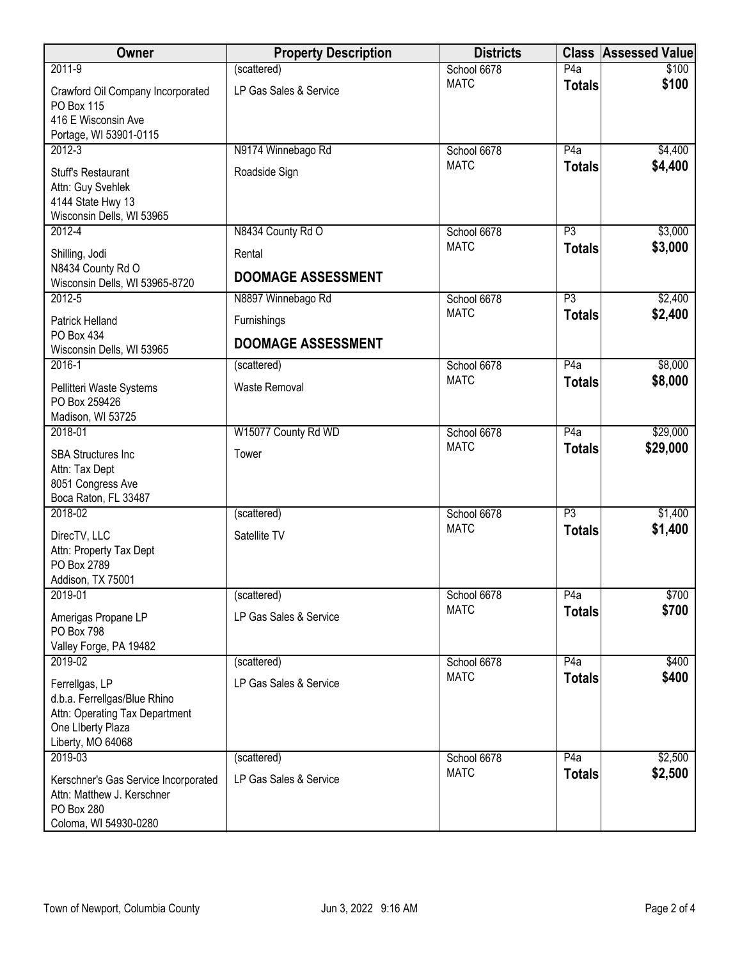| Owner                                                                                                                      | <b>Property Description</b> | <b>Districts</b> |                  | <b>Class Assessed Value</b> |
|----------------------------------------------------------------------------------------------------------------------------|-----------------------------|------------------|------------------|-----------------------------|
| 2011-9                                                                                                                     | (scattered)                 | School 6678      | P4a              | \$100                       |
| Crawford Oil Company Incorporated<br>PO Box 115<br>416 E Wisconsin Ave                                                     | LP Gas Sales & Service      | <b>MATC</b>      | <b>Totals</b>    | \$100                       |
| Portage, WI 53901-0115                                                                                                     |                             |                  |                  |                             |
| $2012 - 3$                                                                                                                 | N9174 Winnebago Rd          | School 6678      | P4a              | \$4,400                     |
| <b>Stuff's Restaurant</b><br>Attn: Guy Svehlek<br>4144 State Hwy 13<br>Wisconsin Dells, WI 53965                           | Roadside Sign               | <b>MATC</b>      | <b>Totals</b>    | \$4,400                     |
| $2012 - 4$                                                                                                                 | N8434 County Rd O           | School 6678      | P3               | \$3,000                     |
| Shilling, Jodi                                                                                                             | Rental                      | <b>MATC</b>      | <b>Totals</b>    | \$3,000                     |
| N8434 County Rd O<br>Wisconsin Dells, WI 53965-8720                                                                        | <b>DOOMAGE ASSESSMENT</b>   |                  |                  |                             |
| $2012 - 5$                                                                                                                 | N8897 Winnebago Rd          | School 6678      | P3               | \$2,400                     |
| <b>Patrick Helland</b>                                                                                                     | Furnishings                 | <b>MATC</b>      | <b>Totals</b>    | \$2,400                     |
| PO Box 434<br>Wisconsin Dells, WI 53965                                                                                    | <b>DOOMAGE ASSESSMENT</b>   |                  |                  |                             |
| $2016 - 1$                                                                                                                 | (scattered)                 | School 6678      | P4a              | \$8,000                     |
| Pellitteri Waste Systems<br>PO Box 259426                                                                                  | Waste Removal               | <b>MATC</b>      | <b>Totals</b>    | \$8,000                     |
| Madison, WI 53725                                                                                                          |                             |                  |                  |                             |
| 2018-01                                                                                                                    | W15077 County Rd WD         | School 6678      | P4a              | \$29,000                    |
| <b>SBA Structures Inc</b><br>Attn: Tax Dept<br>8051 Congress Ave<br>Boca Raton, FL 33487                                   | Tower                       | <b>MATC</b>      | <b>Totals</b>    | \$29,000                    |
| 2018-02                                                                                                                    | (scattered)                 | School 6678      | $\overline{P3}$  | \$1,400                     |
| DirecTV, LLC<br>Attn: Property Tax Dept<br>PO Box 2789<br>Addison, TX 75001                                                | Satellite TV                | <b>MATC</b>      | <b>Totals</b>    | \$1,400                     |
| 2019-01                                                                                                                    | (scattered)                 | School 6678      | P <sub>4</sub> a | \$700                       |
| Amerigas Propane LP<br>PO Box 798                                                                                          | LP Gas Sales & Service      | <b>MATC</b>      | <b>Totals</b>    | \$700                       |
| Valley Forge, PA 19482                                                                                                     |                             |                  |                  |                             |
| 2019-02                                                                                                                    | (scattered)                 | School 6678      | P4a              | \$400                       |
| Ferrellgas, LP<br>d.b.a. Ferrellgas/Blue Rhino<br>Attn: Operating Tax Department<br>One Liberty Plaza<br>Liberty, MO 64068 | LP Gas Sales & Service      | <b>MATC</b>      | <b>Totals</b>    | \$400                       |
| 2019-03                                                                                                                    | (scattered)                 | School 6678      | P4a              | \$2,500                     |
| Kerschner's Gas Service Incorporated<br>Attn: Matthew J. Kerschner<br><b>PO Box 280</b><br>Coloma, WI 54930-0280           | LP Gas Sales & Service      | <b>MATC</b>      | <b>Totals</b>    | \$2,500                     |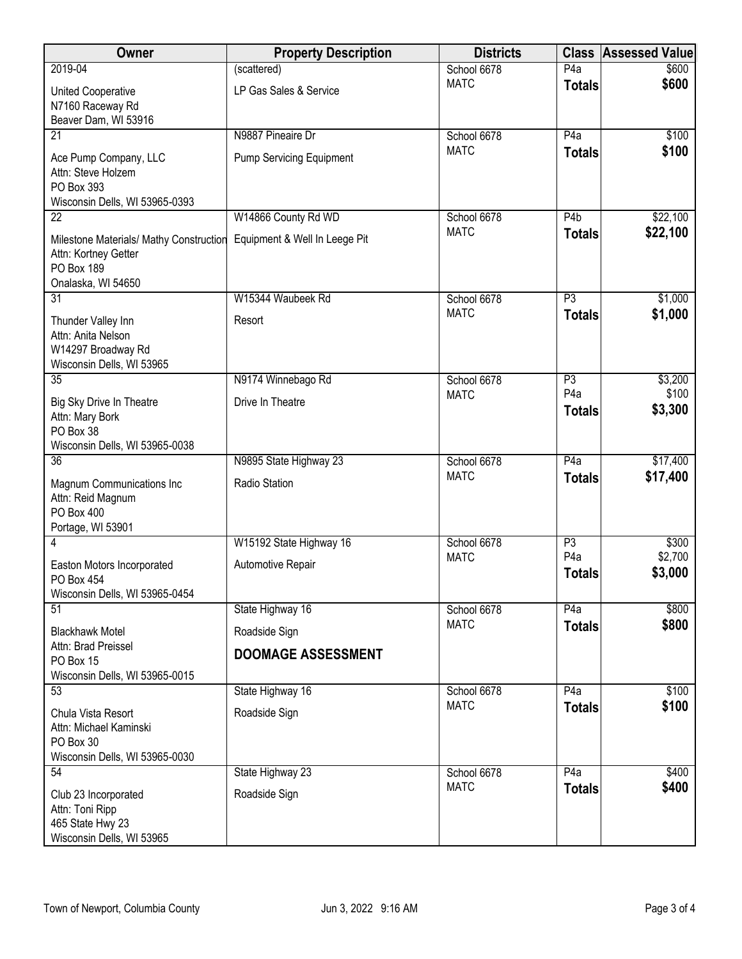| Owner                                                                                               | <b>Property Description</b>     | <b>Districts</b> | <b>Class</b>                      | <b>Assessed Value</b> |
|-----------------------------------------------------------------------------------------------------|---------------------------------|------------------|-----------------------------------|-----------------------|
| 2019-04                                                                                             | (scattered)                     | School 6678      | P4a                               | \$600                 |
| United Cooperative                                                                                  | LP Gas Sales & Service          | <b>MATC</b>      | <b>Totals</b>                     | \$600                 |
| N7160 Raceway Rd<br>Beaver Dam, WI 53916                                                            |                                 |                  |                                   |                       |
| $\overline{21}$                                                                                     | N9887 Pineaire Dr               | School 6678      | P4a                               | \$100                 |
| Ace Pump Company, LLC<br>Attn: Steve Holzem<br>PO Box 393                                           | <b>Pump Servicing Equipment</b> | <b>MATC</b>      | <b>Totals</b>                     | \$100                 |
| Wisconsin Dells, WI 53965-0393<br>$\overline{22}$                                                   | W14866 County Rd WD             | School 6678      | $\overline{P4b}$                  | \$22,100              |
| Milestone Materials/ Mathy Construction<br>Attn: Kortney Getter<br>PO Box 189<br>Onalaska, WI 54650 | Equipment & Well In Leege Pit   | <b>MATC</b>      | <b>Totals</b>                     | \$22,100              |
| 31                                                                                                  | W15344 Waubeek Rd               | School 6678      | P3                                | \$1,000               |
| Thunder Valley Inn<br>Attn: Anita Nelson<br>W14297 Broadway Rd<br>Wisconsin Dells, WI 53965         | Resort                          | <b>MATC</b>      | <b>Totals</b>                     | \$1,000               |
| 35                                                                                                  | N9174 Winnebago Rd              | School 6678      | P3                                | \$3,200               |
| Big Sky Drive In Theatre<br>Attn: Mary Bork<br>PO Box 38<br>Wisconsin Dells, WI 53965-0038          | Drive In Theatre                | <b>MATC</b>      | P <sub>4</sub> a<br><b>Totals</b> | \$100<br>\$3,300      |
| $\overline{36}$                                                                                     | N9895 State Highway 23          | School 6678      | P4a                               | \$17,400              |
| Magnum Communications Inc<br>Attn: Reid Magnum<br>PO Box 400<br>Portage, WI 53901                   | Radio Station                   | <b>MATC</b>      | <b>Totals</b>                     | \$17,400              |
| 4                                                                                                   | W15192 State Highway 16         | School 6678      | P3                                | \$300                 |
| Easton Motors Incorporated<br>PO Box 454<br>Wisconsin Dells, WI 53965-0454                          | Automotive Repair               | <b>MATC</b>      | P <sub>4</sub> a<br><b>Totals</b> | \$2,700<br>\$3,000    |
| 51                                                                                                  | State Highway 16                | School 6678      | P4a                               | \$800                 |
| <b>Blackhawk Motel</b>                                                                              | Roadside Sign                   | <b>MATC</b>      | <b>Totals</b>                     | \$800                 |
| Attn: Brad Preissel<br>PO Box 15<br>Wisconsin Dells, WI 53965-0015                                  | <b>DOOMAGE ASSESSMENT</b>       |                  |                                   |                       |
| 53                                                                                                  | State Highway 16                | School 6678      | P4a                               | \$100                 |
| Chula Vista Resort<br>Attn: Michael Kaminski<br>PO Box 30<br>Wisconsin Dells, WI 53965-0030         | Roadside Sign                   | <b>MATC</b>      | <b>Totals</b>                     | \$100                 |
| 54                                                                                                  | State Highway 23                | School 6678      | P4a                               | \$400                 |
| Club 23 Incorporated<br>Attn: Toni Ripp<br>465 State Hwy 23<br>Wisconsin Dells, WI 53965            | Roadside Sign                   | <b>MATC</b>      | <b>Totals</b>                     | \$400                 |